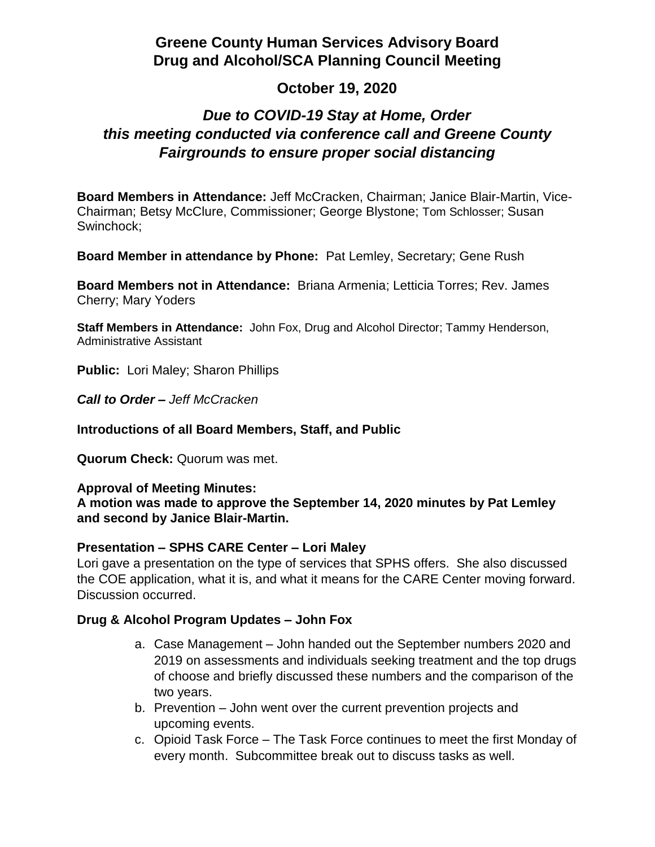## **Greene County Human Services Advisory Board Drug and Alcohol/SCA Planning Council Meeting**

## **October 19, 2020**

# *Due to COVID-19 Stay at Home, Order this meeting conducted via conference call and Greene County Fairgrounds to ensure proper social distancing*

**Board Members in Attendance:** Jeff McCracken, Chairman; Janice Blair-Martin, Vice-Chairman; Betsy McClure, Commissioner; George Blystone; Tom Schlosser; Susan Swinchock;

**Board Member in attendance by Phone:** Pat Lemley, Secretary; Gene Rush

**Board Members not in Attendance:** Briana Armenia; Letticia Torres; Rev. James Cherry; Mary Yoders

**Staff Members in Attendance:** John Fox, Drug and Alcohol Director; Tammy Henderson, Administrative Assistant

**Public:** Lori Maley; Sharon Phillips

*Call to Order – Jeff McCracken*

**Introductions of all Board Members, Staff, and Public**

**Quorum Check:** Quorum was met.

#### **Approval of Meeting Minutes:**

**A motion was made to approve the September 14, 2020 minutes by Pat Lemley and second by Janice Blair-Martin.**

### **Presentation – SPHS CARE Center – Lori Maley**

Lori gave a presentation on the type of services that SPHS offers. She also discussed the COE application, what it is, and what it means for the CARE Center moving forward. Discussion occurred.

### **Drug & Alcohol Program Updates – John Fox**

- a. Case Management John handed out the September numbers 2020 and 2019 on assessments and individuals seeking treatment and the top drugs of choose and briefly discussed these numbers and the comparison of the two years.
- b. Prevention John went over the current prevention projects and upcoming events.
- c. Opioid Task Force The Task Force continues to meet the first Monday of every month. Subcommittee break out to discuss tasks as well.